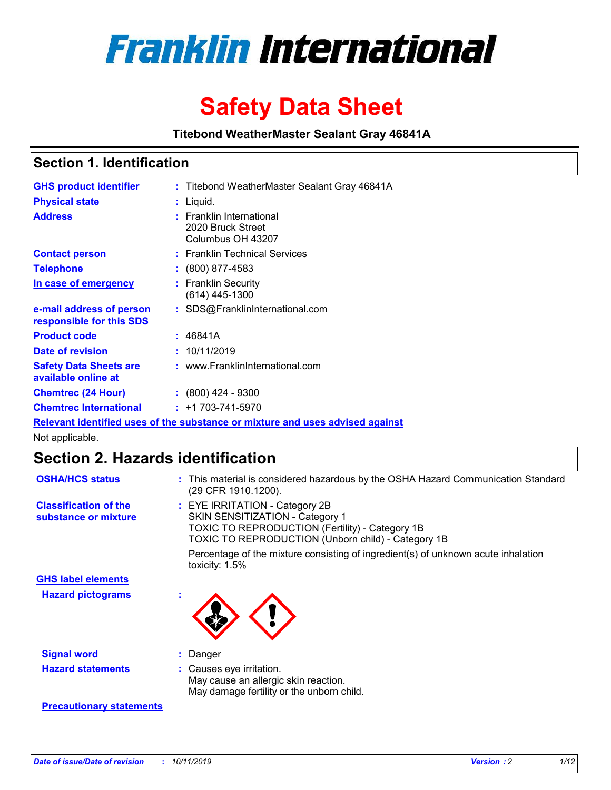

# **Safety Data Sheet**

**Titebond WeatherMaster Sealant Gray 46841A**

### **Section 1. Identification**

| <b>GHS product identifier</b>                        | : Titebond WeatherMaster Sealant Gray 46841A                                  |
|------------------------------------------------------|-------------------------------------------------------------------------------|
| <b>Physical state</b>                                | : Liquid.                                                                     |
| <b>Address</b>                                       | : Franklin International<br>2020 Bruck Street<br>Columbus OH 43207            |
| <b>Contact person</b>                                | : Franklin Technical Services                                                 |
| <b>Telephone</b>                                     | $\colon$ (800) 877-4583                                                       |
| In case of emergency                                 | : Franklin Security<br>(614) 445-1300                                         |
| e-mail address of person<br>responsible for this SDS | : SDS@FranklinInternational.com                                               |
| <b>Product code</b>                                  | : 46841A                                                                      |
| Date of revision                                     | : 10/11/2019                                                                  |
| <b>Safety Data Sheets are</b><br>available online at | : www.FranklinInternational.com                                               |
| <b>Chemtrec (24 Hour)</b>                            | $: (800)$ 424 - 9300                                                          |
| <b>Chemtrec International</b>                        | $: +1703 - 741 - 5970$                                                        |
|                                                      | Relevant identified uses of the substance or mixture and uses advised against |

Not applicable.

## **Section 2. Hazards identification**

| <b>OSHA/HCS status</b>                               | : This material is considered hazardous by the OSHA Hazard Communication Standard<br>(29 CFR 1910.1200).                                                                          |
|------------------------------------------------------|-----------------------------------------------------------------------------------------------------------------------------------------------------------------------------------|
| <b>Classification of the</b><br>substance or mixture | : EYE IRRITATION - Category 2B<br>SKIN SENSITIZATION - Category 1<br><b>TOXIC TO REPRODUCTION (Fertility) - Category 1B</b><br>TOXIC TO REPRODUCTION (Unborn child) - Category 1B |
|                                                      | Percentage of the mixture consisting of ingredient(s) of unknown acute inhalation<br>toxicity: $1.5\%$                                                                            |
| <b>GHS label elements</b>                            |                                                                                                                                                                                   |
| <b>Hazard pictograms</b>                             |                                                                                                                                                                                   |
| <b>Signal word</b>                                   | : Danger                                                                                                                                                                          |
| <b>Hazard statements</b>                             | : Causes eye irritation.<br>May cause an allergic skin reaction.<br>May damage fertility or the unborn child.                                                                     |
| <b>Precautionary statements</b>                      |                                                                                                                                                                                   |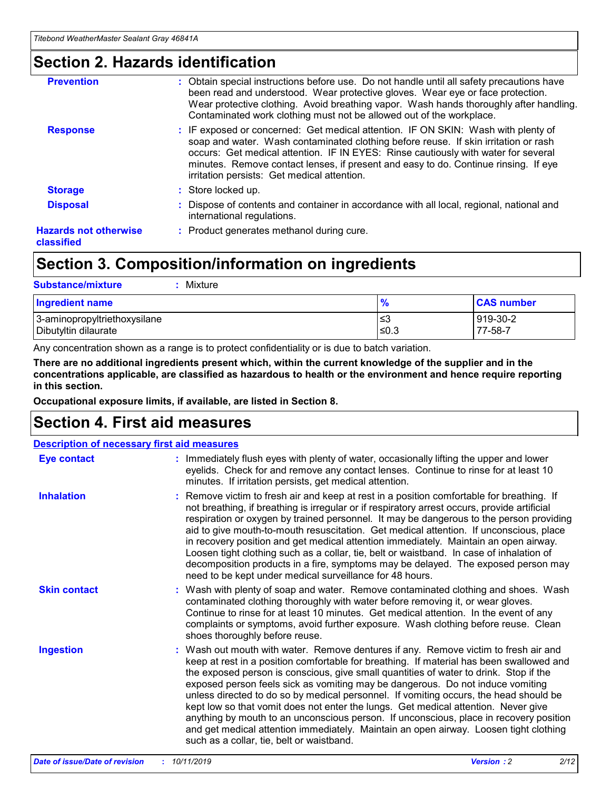### **Section 2. Hazards identification**

| <b>Prevention</b>                          | : Obtain special instructions before use. Do not handle until all safety precautions have<br>been read and understood. Wear protective gloves. Wear eye or face protection.<br>Wear protective clothing. Avoid breathing vapor. Wash hands thoroughly after handling.<br>Contaminated work clothing must not be allowed out of the workplace.                                                        |
|--------------------------------------------|------------------------------------------------------------------------------------------------------------------------------------------------------------------------------------------------------------------------------------------------------------------------------------------------------------------------------------------------------------------------------------------------------|
| <b>Response</b>                            | : IF exposed or concerned: Get medical attention. IF ON SKIN: Wash with plenty of<br>soap and water. Wash contaminated clothing before reuse. If skin irritation or rash<br>occurs: Get medical attention. IF IN EYES: Rinse cautiously with water for several<br>minutes. Remove contact lenses, if present and easy to do. Continue rinsing. If eye<br>irritation persists: Get medical attention. |
| <b>Storage</b>                             | : Store locked up.                                                                                                                                                                                                                                                                                                                                                                                   |
| <b>Disposal</b>                            | : Dispose of contents and container in accordance with all local, regional, national and<br>international regulations.                                                                                                                                                                                                                                                                               |
| <b>Hazards not otherwise</b><br>classified | : Product generates methanol during cure.                                                                                                                                                                                                                                                                                                                                                            |
|                                            |                                                                                                                                                                                                                                                                                                                                                                                                      |

## **Section 3. Composition/information on ingredients**

| <b>Substance/mixture</b><br>: Mixture                |               |                     |
|------------------------------------------------------|---------------|---------------------|
| Ingredient name                                      | $\frac{9}{6}$ | <b>CAS number</b>   |
| 3-aminopropyltriethoxysilane<br>Dibutyltin dilaurate | צ≥<br>≤0.3    | 919-30-2<br>77-58-7 |

Any concentration shown as a range is to protect confidentiality or is due to batch variation.

**There are no additional ingredients present which, within the current knowledge of the supplier and in the concentrations applicable, are classified as hazardous to health or the environment and hence require reporting in this section.**

**Occupational exposure limits, if available, are listed in Section 8.**

### **Section 4. First aid measures**

| <b>Description of necessary first aid measures</b> |                                                                                                                                                                                                                                                                                                                                                                                                                                                                                                                                                                                                                                                                                                                                                                           |  |  |  |
|----------------------------------------------------|---------------------------------------------------------------------------------------------------------------------------------------------------------------------------------------------------------------------------------------------------------------------------------------------------------------------------------------------------------------------------------------------------------------------------------------------------------------------------------------------------------------------------------------------------------------------------------------------------------------------------------------------------------------------------------------------------------------------------------------------------------------------------|--|--|--|
| <b>Eye contact</b>                                 | : Immediately flush eyes with plenty of water, occasionally lifting the upper and lower<br>eyelids. Check for and remove any contact lenses. Continue to rinse for at least 10<br>minutes. If irritation persists, get medical attention.                                                                                                                                                                                                                                                                                                                                                                                                                                                                                                                                 |  |  |  |
| <b>Inhalation</b>                                  | : Remove victim to fresh air and keep at rest in a position comfortable for breathing. If<br>not breathing, if breathing is irregular or if respiratory arrest occurs, provide artificial<br>respiration or oxygen by trained personnel. It may be dangerous to the person providing<br>aid to give mouth-to-mouth resuscitation. Get medical attention. If unconscious, place<br>in recovery position and get medical attention immediately. Maintain an open airway.<br>Loosen tight clothing such as a collar, tie, belt or waistband. In case of inhalation of<br>decomposition products in a fire, symptoms may be delayed. The exposed person may<br>need to be kept under medical surveillance for 48 hours.                                                       |  |  |  |
| <b>Skin contact</b>                                | : Wash with plenty of soap and water. Remove contaminated clothing and shoes. Wash<br>contaminated clothing thoroughly with water before removing it, or wear gloves.<br>Continue to rinse for at least 10 minutes. Get medical attention. In the event of any<br>complaints or symptoms, avoid further exposure. Wash clothing before reuse. Clean<br>shoes thoroughly before reuse.                                                                                                                                                                                                                                                                                                                                                                                     |  |  |  |
| <b>Ingestion</b>                                   | : Wash out mouth with water. Remove dentures if any. Remove victim to fresh air and<br>keep at rest in a position comfortable for breathing. If material has been swallowed and<br>the exposed person is conscious, give small quantities of water to drink. Stop if the<br>exposed person feels sick as vomiting may be dangerous. Do not induce vomiting<br>unless directed to do so by medical personnel. If vomiting occurs, the head should be<br>kept low so that vomit does not enter the lungs. Get medical attention. Never give<br>anything by mouth to an unconscious person. If unconscious, place in recovery position<br>and get medical attention immediately. Maintain an open airway. Loosen tight clothing<br>such as a collar, tie, belt or waistband. |  |  |  |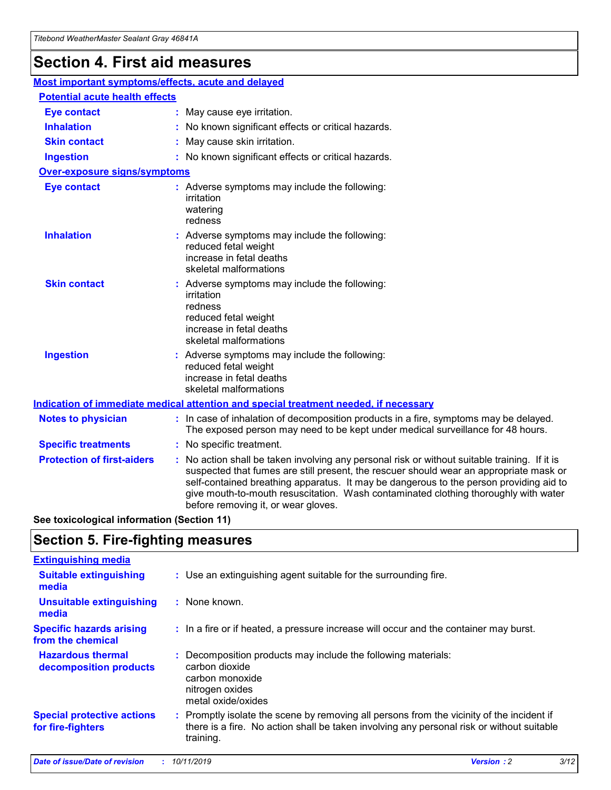## **Section 4. First aid measures**

| Most important symptoms/effects, acute and delayed |                                       |                                                                                                                                                                                                                                                                                                                                                                                                                 |  |  |  |
|----------------------------------------------------|---------------------------------------|-----------------------------------------------------------------------------------------------------------------------------------------------------------------------------------------------------------------------------------------------------------------------------------------------------------------------------------------------------------------------------------------------------------------|--|--|--|
|                                                    | <b>Potential acute health effects</b> |                                                                                                                                                                                                                                                                                                                                                                                                                 |  |  |  |
| <b>Eye contact</b>                                 |                                       | : May cause eye irritation.                                                                                                                                                                                                                                                                                                                                                                                     |  |  |  |
| <b>Inhalation</b>                                  |                                       | : No known significant effects or critical hazards.                                                                                                                                                                                                                                                                                                                                                             |  |  |  |
| <b>Skin contact</b>                                |                                       | : May cause skin irritation.                                                                                                                                                                                                                                                                                                                                                                                    |  |  |  |
| <b>Ingestion</b>                                   |                                       | : No known significant effects or critical hazards.                                                                                                                                                                                                                                                                                                                                                             |  |  |  |
| Over-exposure signs/symptoms                       |                                       |                                                                                                                                                                                                                                                                                                                                                                                                                 |  |  |  |
| <b>Eye contact</b>                                 |                                       | : Adverse symptoms may include the following:<br>irritation<br>watering<br>redness                                                                                                                                                                                                                                                                                                                              |  |  |  |
| <b>Inhalation</b>                                  |                                       | : Adverse symptoms may include the following:<br>reduced fetal weight<br>increase in fetal deaths<br>skeletal malformations                                                                                                                                                                                                                                                                                     |  |  |  |
| <b>Skin contact</b>                                |                                       | : Adverse symptoms may include the following:<br>irritation<br>redness<br>reduced fetal weight<br>increase in fetal deaths<br>skeletal malformations                                                                                                                                                                                                                                                            |  |  |  |
| <b>Ingestion</b>                                   |                                       | : Adverse symptoms may include the following:<br>reduced fetal weight<br>increase in fetal deaths<br>skeletal malformations                                                                                                                                                                                                                                                                                     |  |  |  |
|                                                    |                                       | <b>Indication of immediate medical attention and special treatment needed, if necessary</b>                                                                                                                                                                                                                                                                                                                     |  |  |  |
| <b>Notes to physician</b>                          |                                       | : In case of inhalation of decomposition products in a fire, symptoms may be delayed.<br>The exposed person may need to be kept under medical surveillance for 48 hours.                                                                                                                                                                                                                                        |  |  |  |
| <b>Specific treatments</b>                         |                                       | : No specific treatment.                                                                                                                                                                                                                                                                                                                                                                                        |  |  |  |
| <b>Protection of first-aiders</b>                  |                                       | : No action shall be taken involving any personal risk or without suitable training. If it is<br>suspected that fumes are still present, the rescuer should wear an appropriate mask or<br>self-contained breathing apparatus. It may be dangerous to the person providing aid to<br>give mouth-to-mouth resuscitation. Wash contaminated clothing thoroughly with water<br>before removing it, or wear gloves. |  |  |  |

**See toxicological information (Section 11)**

### **Section 5. Fire-fighting measures**

| <b>Extinguishing media</b>                             |                                                                                                                                                                                                     |
|--------------------------------------------------------|-----------------------------------------------------------------------------------------------------------------------------------------------------------------------------------------------------|
| <b>Suitable extinguishing</b><br>media                 | : Use an extinguishing agent suitable for the surrounding fire.                                                                                                                                     |
| <b>Unsuitable extinguishing</b><br>media               | : None known.                                                                                                                                                                                       |
| <b>Specific hazards arising</b><br>from the chemical   | : In a fire or if heated, a pressure increase will occur and the container may burst.                                                                                                               |
| <b>Hazardous thermal</b><br>decomposition products     | : Decomposition products may include the following materials:<br>carbon dioxide<br>carbon monoxide<br>nitrogen oxides<br>metal oxide/oxides                                                         |
| <b>Special protective actions</b><br>for fire-fighters | : Promptly isolate the scene by removing all persons from the vicinity of the incident if<br>there is a fire. No action shall be taken involving any personal risk or without suitable<br>training. |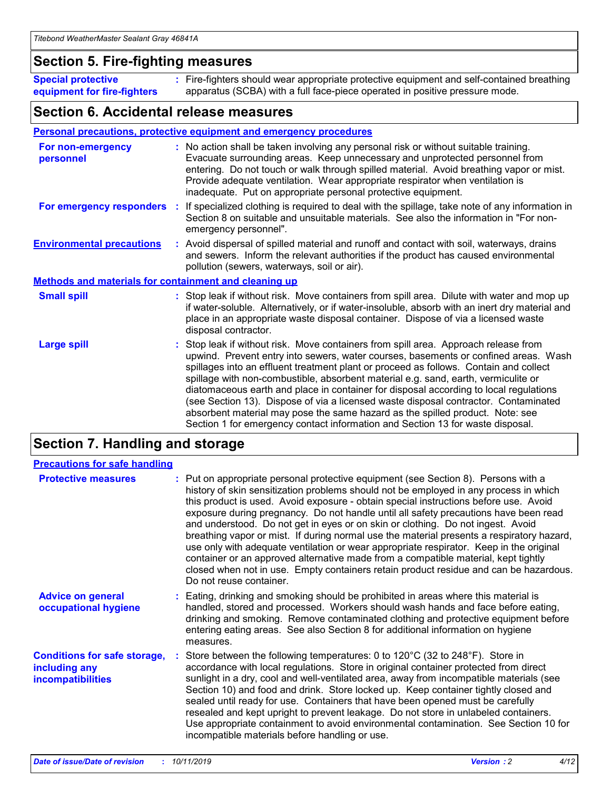### **Section 5. Fire-fighting measures**

**Special protective equipment for fire-fighters** Fire-fighters should wear appropriate protective equipment and self-contained breathing **:** apparatus (SCBA) with a full face-piece operated in positive pressure mode.

### **Section 6. Accidental release measures**

#### **Personal precautions, protective equipment and emergency procedures**

| For non-emergency<br>personnel                               | : No action shall be taken involving any personal risk or without suitable training.<br>Evacuate surrounding areas. Keep unnecessary and unprotected personnel from<br>entering. Do not touch or walk through spilled material. Avoid breathing vapor or mist.<br>Provide adequate ventilation. Wear appropriate respirator when ventilation is<br>inadequate. Put on appropriate personal protective equipment.                                                                                                                                                                                                                                                                                             |
|--------------------------------------------------------------|--------------------------------------------------------------------------------------------------------------------------------------------------------------------------------------------------------------------------------------------------------------------------------------------------------------------------------------------------------------------------------------------------------------------------------------------------------------------------------------------------------------------------------------------------------------------------------------------------------------------------------------------------------------------------------------------------------------|
| For emergency responders                                     | : If specialized clothing is required to deal with the spillage, take note of any information in<br>Section 8 on suitable and unsuitable materials. See also the information in "For non-<br>emergency personnel".                                                                                                                                                                                                                                                                                                                                                                                                                                                                                           |
| <b>Environmental precautions</b>                             | : Avoid dispersal of spilled material and runoff and contact with soil, waterways, drains<br>and sewers. Inform the relevant authorities if the product has caused environmental<br>pollution (sewers, waterways, soil or air).                                                                                                                                                                                                                                                                                                                                                                                                                                                                              |
| <b>Methods and materials for containment and cleaning up</b> |                                                                                                                                                                                                                                                                                                                                                                                                                                                                                                                                                                                                                                                                                                              |
| <b>Small spill</b>                                           | : Stop leak if without risk. Move containers from spill area. Dilute with water and mop up<br>if water-soluble. Alternatively, or if water-insoluble, absorb with an inert dry material and<br>place in an appropriate waste disposal container. Dispose of via a licensed waste<br>disposal contractor.                                                                                                                                                                                                                                                                                                                                                                                                     |
| <b>Large spill</b>                                           | : Stop leak if without risk. Move containers from spill area. Approach release from<br>upwind. Prevent entry into sewers, water courses, basements or confined areas. Wash<br>spillages into an effluent treatment plant or proceed as follows. Contain and collect<br>spillage with non-combustible, absorbent material e.g. sand, earth, vermiculite or<br>diatomaceous earth and place in container for disposal according to local regulations<br>(see Section 13). Dispose of via a licensed waste disposal contractor. Contaminated<br>absorbent material may pose the same hazard as the spilled product. Note: see<br>Section 1 for emergency contact information and Section 13 for waste disposal. |

### **Section 7. Handling and storage**

| <b>Precautions for safe handling</b>                                             |                                                                                                                                                                                                                                                                                                                                                                                                                                                                                                                                                                                                                                                                                                                                                                                                                                                  |
|----------------------------------------------------------------------------------|--------------------------------------------------------------------------------------------------------------------------------------------------------------------------------------------------------------------------------------------------------------------------------------------------------------------------------------------------------------------------------------------------------------------------------------------------------------------------------------------------------------------------------------------------------------------------------------------------------------------------------------------------------------------------------------------------------------------------------------------------------------------------------------------------------------------------------------------------|
| <b>Protective measures</b>                                                       | : Put on appropriate personal protective equipment (see Section 8). Persons with a<br>history of skin sensitization problems should not be employed in any process in which<br>this product is used. Avoid exposure - obtain special instructions before use. Avoid<br>exposure during pregnancy. Do not handle until all safety precautions have been read<br>and understood. Do not get in eyes or on skin or clothing. Do not ingest. Avoid<br>breathing vapor or mist. If during normal use the material presents a respiratory hazard,<br>use only with adequate ventilation or wear appropriate respirator. Keep in the original<br>container or an approved alternative made from a compatible material, kept tightly<br>closed when not in use. Empty containers retain product residue and can be hazardous.<br>Do not reuse container. |
| <b>Advice on general</b><br>occupational hygiene                                 | : Eating, drinking and smoking should be prohibited in areas where this material is<br>handled, stored and processed. Workers should wash hands and face before eating,<br>drinking and smoking. Remove contaminated clothing and protective equipment before<br>entering eating areas. See also Section 8 for additional information on hygiene<br>measures.                                                                                                                                                                                                                                                                                                                                                                                                                                                                                    |
| <b>Conditions for safe storage,</b><br>including any<br><b>incompatibilities</b> | Store between the following temperatures: 0 to 120°C (32 to 248°F). Store in<br>accordance with local regulations. Store in original container protected from direct<br>sunlight in a dry, cool and well-ventilated area, away from incompatible materials (see<br>Section 10) and food and drink. Store locked up. Keep container tightly closed and<br>sealed until ready for use. Containers that have been opened must be carefully<br>resealed and kept upright to prevent leakage. Do not store in unlabeled containers.<br>Use appropriate containment to avoid environmental contamination. See Section 10 for<br>incompatible materials before handling or use.                                                                                                                                                                         |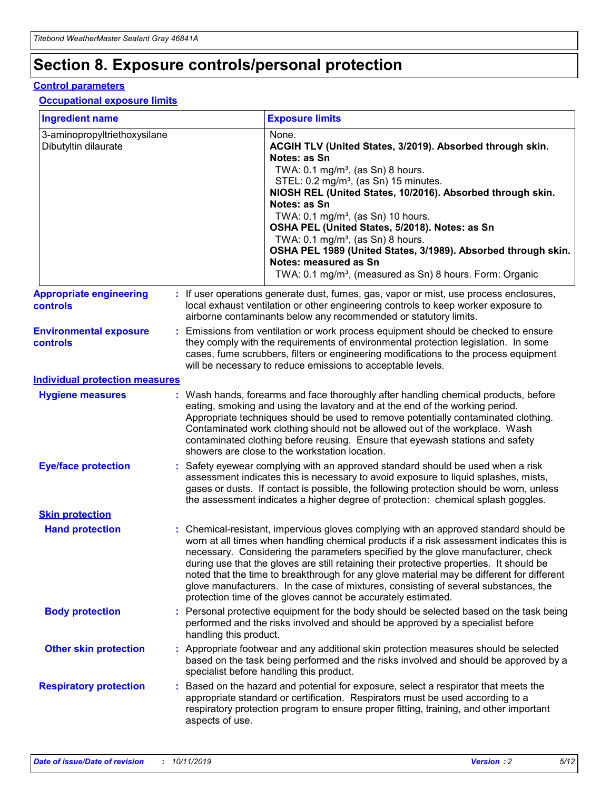## **Section 8. Exposure controls/personal protection**

#### **Control parameters**

#### **Occupational exposure limits**

| <b>Ingredient name</b>                               |    |                        | <b>Exposure limits</b>                                                                                                                                                                                                                                                                                                                                                                                                                                                                                                                                                                                                 |
|------------------------------------------------------|----|------------------------|------------------------------------------------------------------------------------------------------------------------------------------------------------------------------------------------------------------------------------------------------------------------------------------------------------------------------------------------------------------------------------------------------------------------------------------------------------------------------------------------------------------------------------------------------------------------------------------------------------------------|
| 3-aminopropyltriethoxysilane<br>Dibutyltin dilaurate |    |                        | None.<br>ACGIH TLV (United States, 3/2019). Absorbed through skin.<br>Notes: as Sn<br>TWA: $0.1 \text{ mg/m}^3$ , (as Sn) 8 hours.<br>STEL: 0.2 mg/m <sup>3</sup> , (as Sn) 15 minutes.<br>NIOSH REL (United States, 10/2016). Absorbed through skin.<br>Notes: as Sn<br>TWA: 0.1 mg/m <sup>3</sup> , (as Sn) 10 hours.<br>OSHA PEL (United States, 5/2018). Notes: as Sn<br>TWA: $0.1 \text{ mg/m}^3$ , (as Sn) 8 hours.<br>OSHA PEL 1989 (United States, 3/1989). Absorbed through skin.<br>Notes: measured as Sn<br>TWA: 0.1 mg/m <sup>3</sup> , (measured as Sn) 8 hours. Form: Organic                            |
| <b>Appropriate engineering</b><br>controls           |    |                        | : If user operations generate dust, fumes, gas, vapor or mist, use process enclosures,<br>local exhaust ventilation or other engineering controls to keep worker exposure to<br>airborne contaminants below any recommended or statutory limits.                                                                                                                                                                                                                                                                                                                                                                       |
| <b>Environmental exposure</b><br>controls            |    |                        | Emissions from ventilation or work process equipment should be checked to ensure<br>they comply with the requirements of environmental protection legislation. In some<br>cases, fume scrubbers, filters or engineering modifications to the process equipment<br>will be necessary to reduce emissions to acceptable levels.                                                                                                                                                                                                                                                                                          |
| <b>Individual protection measures</b>                |    |                        |                                                                                                                                                                                                                                                                                                                                                                                                                                                                                                                                                                                                                        |
| <b>Hygiene measures</b>                              |    |                        | : Wash hands, forearms and face thoroughly after handling chemical products, before<br>eating, smoking and using the lavatory and at the end of the working period.<br>Appropriate techniques should be used to remove potentially contaminated clothing.<br>Contaminated work clothing should not be allowed out of the workplace. Wash<br>contaminated clothing before reusing. Ensure that eyewash stations and safety<br>showers are close to the workstation location.                                                                                                                                            |
| <b>Eye/face protection</b>                           |    |                        | : Safety eyewear complying with an approved standard should be used when a risk<br>assessment indicates this is necessary to avoid exposure to liquid splashes, mists,<br>gases or dusts. If contact is possible, the following protection should be worn, unless<br>the assessment indicates a higher degree of protection: chemical splash goggles.                                                                                                                                                                                                                                                                  |
| <b>Skin protection</b>                               |    |                        |                                                                                                                                                                                                                                                                                                                                                                                                                                                                                                                                                                                                                        |
| <b>Hand protection</b>                               |    |                        | : Chemical-resistant, impervious gloves complying with an approved standard should be<br>worn at all times when handling chemical products if a risk assessment indicates this is<br>necessary. Considering the parameters specified by the glove manufacturer, check<br>during use that the gloves are still retaining their protective properties. It should be<br>noted that the time to breakthrough for any glove material may be different for different<br>glove manufacturers. In the case of mixtures, consisting of several substances, the<br>protection time of the gloves cannot be accurately estimated. |
| <b>Body protection</b>                               |    | handling this product. | Personal protective equipment for the body should be selected based on the task being<br>performed and the risks involved and should be approved by a specialist before                                                                                                                                                                                                                                                                                                                                                                                                                                                |
| <b>Other skin protection</b>                         |    |                        | : Appropriate footwear and any additional skin protection measures should be selected<br>based on the task being performed and the risks involved and should be approved by a<br>specialist before handling this product.                                                                                                                                                                                                                                                                                                                                                                                              |
| <b>Respiratory protection</b>                        | ÷. | aspects of use.        | Based on the hazard and potential for exposure, select a respirator that meets the<br>appropriate standard or certification. Respirators must be used according to a<br>respiratory protection program to ensure proper fitting, training, and other important                                                                                                                                                                                                                                                                                                                                                         |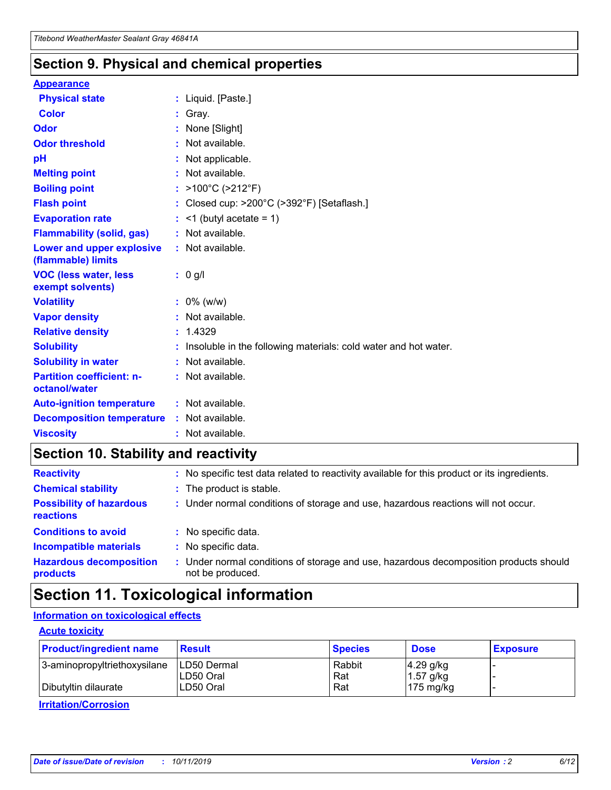### **Section 9. Physical and chemical properties**

#### **Appearance**

| <b>Physical state</b>                             | : Liquid. [Paste.]                                                |
|---------------------------------------------------|-------------------------------------------------------------------|
| Color                                             | Gray.                                                             |
| Odor                                              | None [Slight]                                                     |
| <b>Odor threshold</b>                             | : Not available.                                                  |
| рH                                                | : Not applicable.                                                 |
| <b>Melting point</b>                              | : Not available.                                                  |
| <b>Boiling point</b>                              | : $>100^{\circ}$ C ( $>212^{\circ}$ F)                            |
| <b>Flash point</b>                                | : Closed cup: $>200^{\circ}$ C ( $>392^{\circ}$ F) [Setaflash.]   |
| <b>Evaporation rate</b>                           | $:$ <1 (butyl acetate = 1)                                        |
| <b>Flammability (solid, gas)</b>                  | : Not available.                                                  |
| Lower and upper explosive<br>(flammable) limits   | : Not available.                                                  |
| <b>VOC (less water, less</b><br>exempt solvents)  | $: 0$ g/l                                                         |
| <b>Volatility</b>                                 | $: 0\%$ (w/w)                                                     |
| <b>Vapor density</b>                              | : Not available.                                                  |
| <b>Relative density</b>                           | : 1.4329                                                          |
| <b>Solubility</b>                                 | : Insoluble in the following materials: cold water and hot water. |
| <b>Solubility in water</b>                        | : Not available.                                                  |
| <b>Partition coefficient: n-</b><br>octanol/water | : Not available.                                                  |
| <b>Auto-ignition temperature</b>                  | $:$ Not available.                                                |
| <b>Decomposition temperature</b>                  | : Not available.                                                  |
| <b>Viscosity</b>                                  | : Not available.                                                  |

### **Section 10. Stability and reactivity**

| <b>Reactivity</b>                            |    | : No specific test data related to reactivity available for this product or its ingredients.            |
|----------------------------------------------|----|---------------------------------------------------------------------------------------------------------|
| <b>Chemical stability</b>                    |    | : The product is stable.                                                                                |
| <b>Possibility of hazardous</b><br>reactions |    | : Under normal conditions of storage and use, hazardous reactions will not occur.                       |
| <b>Conditions to avoid</b>                   |    | : No specific data.                                                                                     |
| <b>Incompatible materials</b>                | ٠. | No specific data.                                                                                       |
| <b>Hazardous decomposition</b><br>products   | ÷. | Under normal conditions of storage and use, hazardous decomposition products should<br>not be produced. |

## **Section 11. Toxicological information**

### **Information on toxicological effects**

#### **Acute toxicity**

| <b>Product/ingredient name</b> | <b>Result</b>           | <b>Species</b> | <b>Dose</b>                | <b>Exposure</b> |
|--------------------------------|-------------------------|----------------|----------------------------|-----------------|
| 3-aminopropyltriethoxysilane   | <b>ILD50 Dermal</b>     | Rabbit         | 4.29 g/kg                  |                 |
| Dibutyltin dilaurate           | ILD50 Oral<br>LD50 Oral | Rat<br>Rat     | $1.57$ g/kg<br>175 $mg/kg$ |                 |
|                                |                         |                |                            |                 |

**Irritation/Corrosion**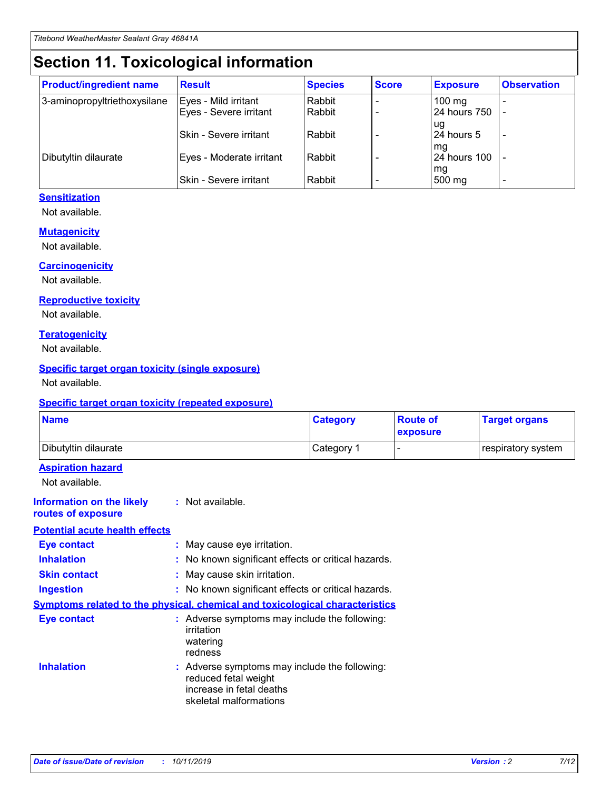## **Section 11. Toxicological information**

| <b>Product/ingredient name</b> | <b>Result</b>            | <b>Species</b> | <b>Score</b> | <b>Exposure</b>           | <b>Observation</b> |
|--------------------------------|--------------------------|----------------|--------------|---------------------------|--------------------|
| 3-aminopropyltriethoxysilane   | Eyes - Mild irritant     | Rabbit         |              | $100$ mg                  |                    |
|                                | Eyes - Severe irritant   | Rabbit         |              | 24 hours 750              |                    |
|                                |                          |                |              | ug                        |                    |
|                                | Skin - Severe irritant   | Rabbit         |              | 24 hours 5                | -                  |
| Dibutyltin dilaurate           | Eyes - Moderate irritant | Rabbit         |              | mq<br><b>24 hours 100</b> |                    |
|                                |                          |                |              | mg                        |                    |
|                                | Skin - Severe irritant   | Rabbit         |              | 500 mg                    |                    |

#### **Sensitization**

Not available.

#### **Mutagenicity**

Not available.

#### **Carcinogenicity**

Not available.

#### **Reproductive toxicity**

Not available.

#### **Teratogenicity**

Not available.

#### **Specific target organ toxicity (single exposure)**

Not available.

#### **Specific target organ toxicity (repeated exposure)**

| <b>Name</b>                                                                         |                                                                            | <b>Category</b>                                     | <b>Route of</b><br>exposure | <b>Target organs</b> |
|-------------------------------------------------------------------------------------|----------------------------------------------------------------------------|-----------------------------------------------------|-----------------------------|----------------------|
| Dibutyltin dilaurate                                                                |                                                                            | Category 1                                          |                             | respiratory system   |
| <b>Aspiration hazard</b><br>Not available.                                          |                                                                            |                                                     |                             |                      |
| <b>Information on the likely</b><br>routes of exposure                              | : Not available.                                                           |                                                     |                             |                      |
| <b>Potential acute health effects</b>                                               |                                                                            |                                                     |                             |                      |
| <b>Eye contact</b>                                                                  | : May cause eye irritation.                                                |                                                     |                             |                      |
| <b>Inhalation</b>                                                                   |                                                                            | : No known significant effects or critical hazards. |                             |                      |
| <b>Skin contact</b>                                                                 | : May cause skin irritation.                                               |                                                     |                             |                      |
| <b>Ingestion</b>                                                                    |                                                                            | : No known significant effects or critical hazards. |                             |                      |
| <b>Symptoms related to the physical, chemical and toxicological characteristics</b> |                                                                            |                                                     |                             |                      |
| <b>Eye contact</b>                                                                  | irritation<br>watering<br>redness                                          | : Adverse symptoms may include the following:       |                             |                      |
| <b>Inhalation</b>                                                                   | reduced fetal weight<br>increase in fetal deaths<br>skeletal malformations | : Adverse symptoms may include the following:       |                             |                      |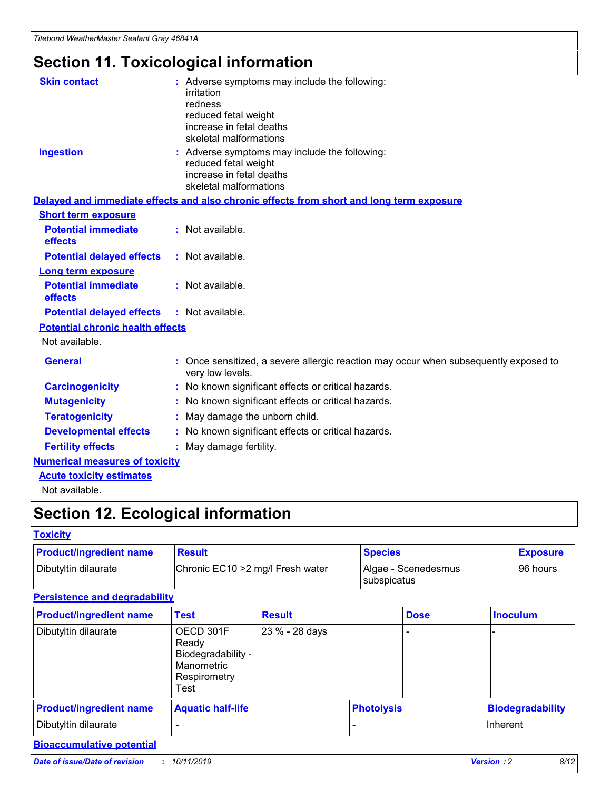# **Section 11. Toxicological information**

| <b>Skin contact</b>                     | : Adverse symptoms may include the following:<br>irritation<br>redness<br>reduced fetal weight<br>increase in fetal deaths<br>skeletal malformations |
|-----------------------------------------|------------------------------------------------------------------------------------------------------------------------------------------------------|
| <b>Ingestion</b>                        | : Adverse symptoms may include the following:<br>reduced fetal weight<br>increase in fetal deaths<br>skeletal malformations                          |
|                                         | Delayed and immediate effects and also chronic effects from short and long term exposure                                                             |
| <b>Short term exposure</b>              |                                                                                                                                                      |
| <b>Potential immediate</b><br>effects   | : Not available.                                                                                                                                     |
| <b>Potential delayed effects</b>        | : Not available.                                                                                                                                     |
| <b>Long term exposure</b>               |                                                                                                                                                      |
| <b>Potential immediate</b><br>effects   | : Not available.                                                                                                                                     |
| <b>Potential delayed effects</b>        | : Not available.                                                                                                                                     |
| <b>Potential chronic health effects</b> |                                                                                                                                                      |
| Not available.                          |                                                                                                                                                      |
| <b>General</b>                          | : Once sensitized, a severe allergic reaction may occur when subsequently exposed to<br>very low levels.                                             |
| <b>Carcinogenicity</b>                  | : No known significant effects or critical hazards.                                                                                                  |
| <b>Mutagenicity</b>                     | No known significant effects or critical hazards.                                                                                                    |
| <b>Teratogenicity</b>                   | May damage the unborn child.                                                                                                                         |
| <b>Developmental effects</b>            | No known significant effects or critical hazards.                                                                                                    |
| <b>Fertility effects</b>                | : May damage fertility.                                                                                                                              |
| <b>Numerical measures of toxicity</b>   |                                                                                                                                                      |
| <b>Acute toxicity estimates</b>         |                                                                                                                                                      |
|                                         |                                                                                                                                                      |

Not available.

## **Section 12. Ecological information**

#### **Toxicity**

| <b>Product/ingredient name</b> | <b>Result</b>                     | <b>Species</b>                       | <b>Exposure</b> |
|--------------------------------|-----------------------------------|--------------------------------------|-----------------|
| Dibutyltin dilaurate           | Chronic EC10 > 2 mg/l Fresh water | Algae - Scenedesmus<br>I subspicatus | l 96 hours i    |

### **Persistence and degradability**

| <b>Product/ingredient name</b> | <b>Test</b>                                                                    | <b>Result</b>  |                   | <b>Dose</b> | <b>Inoculum</b>         |
|--------------------------------|--------------------------------------------------------------------------------|----------------|-------------------|-------------|-------------------------|
| Dibutyltin dilaurate           | OECD 301F<br>Ready<br>Biodegradability -<br>Manometric<br>Respirometry<br>Test | 23 % - 28 days |                   |             |                         |
| <b>Product/ingredient name</b> | <b>Aquatic half-life</b>                                                       |                | <b>Photolysis</b> |             | <b>Biodegradability</b> |
| Dibutyltin dilaurate           |                                                                                |                |                   |             | Inherent                |

### **Bioaccumulative potential**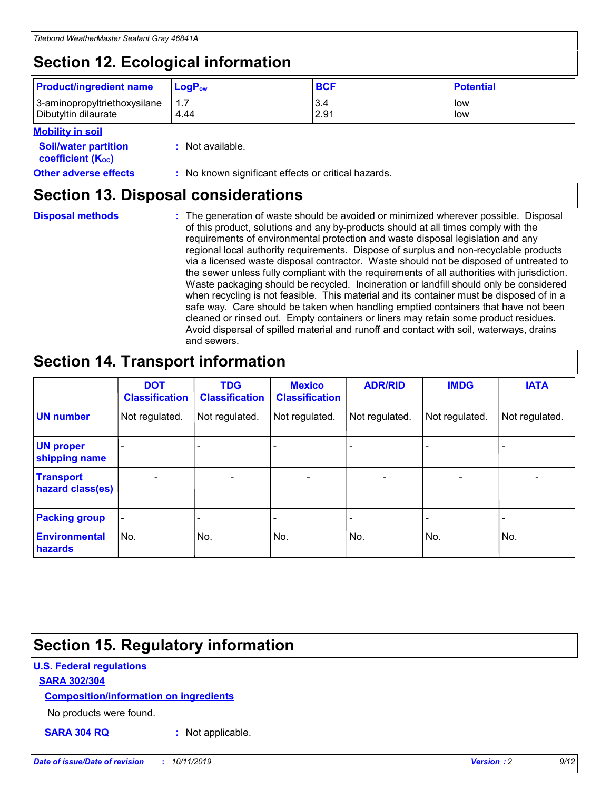## **Section 12. Ecological information**

| <b>Product/ingredient name</b> | $LoaPow$ | <b>BCF</b> | <b>Potential</b> |
|--------------------------------|----------|------------|------------------|
| 3-aminopropyltriethoxysilane   | 1.7      | 3.4        | low              |
| Dibutyltin dilaurate           | 4.44     | 2.91       | low              |

#### **Mobility in soil**

| <b>Soil/water partition</b><br>coefficient (K <sub>oc</sub> ) | : Not available.                                    |
|---------------------------------------------------------------|-----------------------------------------------------|
| <b>Other adverse effects</b>                                  | : No known significant effects or critical hazards. |

### **Section 13. Disposal considerations**

**Disposal methods :**

The generation of waste should be avoided or minimized wherever possible. Disposal of this product, solutions and any by-products should at all times comply with the requirements of environmental protection and waste disposal legislation and any regional local authority requirements. Dispose of surplus and non-recyclable products via a licensed waste disposal contractor. Waste should not be disposed of untreated to the sewer unless fully compliant with the requirements of all authorities with jurisdiction. Waste packaging should be recycled. Incineration or landfill should only be considered when recycling is not feasible. This material and its container must be disposed of in a safe way. Care should be taken when handling emptied containers that have not been cleaned or rinsed out. Empty containers or liners may retain some product residues. Avoid dispersal of spilled material and runoff and contact with soil, waterways, drains and sewers.

## **Section 14. Transport information**

|                                      | <b>DOT</b><br><b>Classification</b> | <b>TDG</b><br><b>Classification</b> | <b>Mexico</b><br><b>Classification</b> | <b>ADR/RID</b> | <b>IMDG</b>              | <b>IATA</b>              |
|--------------------------------------|-------------------------------------|-------------------------------------|----------------------------------------|----------------|--------------------------|--------------------------|
| <b>UN number</b>                     | Not regulated.                      | Not regulated.                      | Not regulated.                         | Not regulated. | Not regulated.           | Not regulated.           |
| <b>UN proper</b><br>shipping name    | $\blacksquare$                      |                                     |                                        |                |                          |                          |
| <b>Transport</b><br>hazard class(es) | $\blacksquare$                      | $\overline{\phantom{a}}$            | $\blacksquare$                         | $\blacksquare$ | $\overline{\phantom{a}}$ | $\blacksquare$           |
| <b>Packing group</b>                 | $\overline{\phantom{a}}$            | $\overline{\phantom{0}}$            | $\overline{\phantom{a}}$               | -              | $\overline{\phantom{0}}$ | $\overline{\phantom{a}}$ |
| <b>Environmental</b><br>hazards      | No.                                 | No.                                 | No.                                    | No.            | No.                      | No.                      |

## **Section 15. Regulatory information**

#### **U.S. Federal regulations**

#### **SARA 302/304**

#### **Composition/information on ingredients**

No products were found.

**SARA 304 RQ :** Not applicable.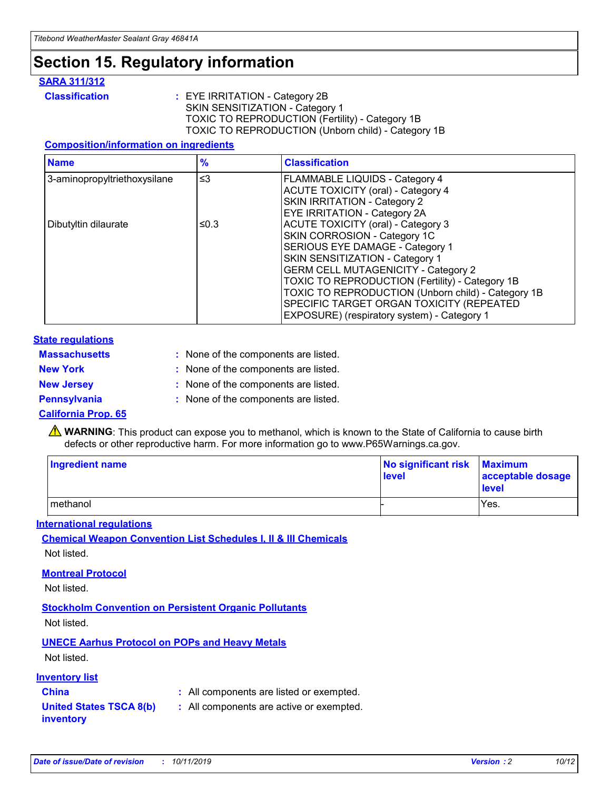## **Section 15. Regulatory information**

#### **SARA 311/312**

**Classification :** EYE IRRITATION - Category 2B SKIN SENSITIZATION - Category 1 TOXIC TO REPRODUCTION (Fertility) - Category 1B TOXIC TO REPRODUCTION (Unborn child) - Category 1B

#### **Composition/information on ingredients**

| <b>Name</b>                  | $\frac{9}{6}$ | <b>Classification</b>                                                                                            |
|------------------------------|---------------|------------------------------------------------------------------------------------------------------------------|
| 3-aminopropyltriethoxysilane | $\leq$ 3      | <b>FLAMMABLE LIQUIDS - Category 4</b><br><b>ACUTE TOXICITY (oral) - Category 4</b>                               |
|                              |               | SKIN IRRITATION - Category 2<br>EYE IRRITATION - Category 2A                                                     |
| Dibutyltin dilaurate         | ≤0.3          | ACUTE TOXICITY (oral) - Category 3<br>SKIN CORROSION - Category 1C                                               |
|                              |               | SERIOUS EYE DAMAGE - Category 1<br>SKIN SENSITIZATION - Category 1<br><b>GERM CELL MUTAGENICITY - Category 2</b> |
|                              |               | TOXIC TO REPRODUCTION (Fertility) - Category 1B<br>TOXIC TO REPRODUCTION (Unborn child) - Category 1B            |
|                              |               | SPECIFIC TARGET ORGAN TOXICITY (REPEATED<br>EXPOSURE) (respiratory system) - Category 1                          |

#### **State regulations**

| <b>Massachusetts</b> | : None of the components are listed. |
|----------------------|--------------------------------------|
| <b>New York</b>      | : None of the components are listed. |
| <b>New Jersey</b>    | : None of the components are listed. |
| <b>Pennsylvania</b>  | : None of the components are listed. |

#### **California Prop. 65**

**A** WARNING: This product can expose you to methanol, which is known to the State of California to cause birth defects or other reproductive harm. For more information go to www.P65Warnings.ca.gov.

| <b>Ingredient name</b> | No significant risk Maximum<br>level | acceptable dosage<br>level |
|------------------------|--------------------------------------|----------------------------|
| methanol               |                                      | Yes.                       |

#### **International regulations**

**Chemical Weapon Convention List Schedules I, II & III Chemicals** Not listed.

#### **Montreal Protocol**

Not listed.

#### **Stockholm Convention on Persistent Organic Pollutants**

Not listed.

### **UNECE Aarhus Protocol on POPs and Heavy Metals**

Not listed.

#### **Inventory list**

### **China :** All components are listed or exempted.

**United States TSCA 8(b) inventory :** All components are active or exempted.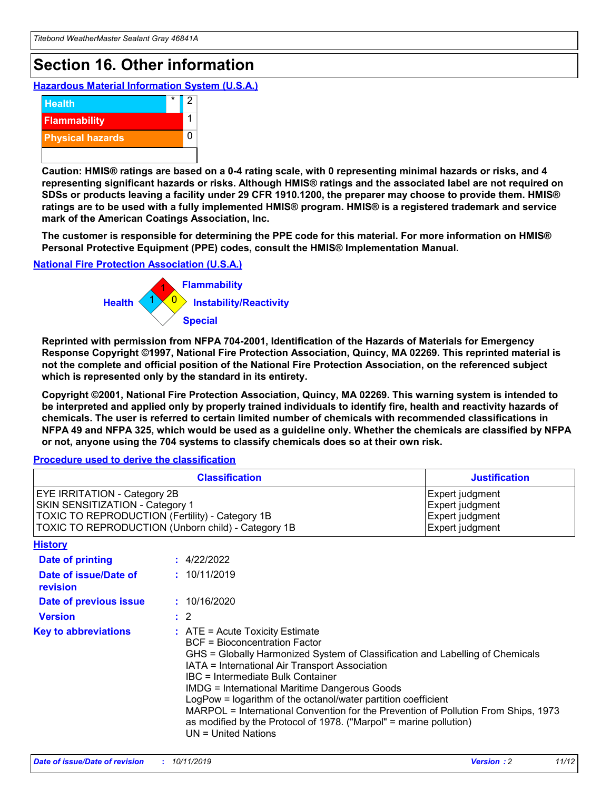## **Section 16. Other information**

**Hazardous Material Information System (U.S.A.)**



**Caution: HMIS® ratings are based on a 0-4 rating scale, with 0 representing minimal hazards or risks, and 4 representing significant hazards or risks. Although HMIS® ratings and the associated label are not required on SDSs or products leaving a facility under 29 CFR 1910.1200, the preparer may choose to provide them. HMIS® ratings are to be used with a fully implemented HMIS® program. HMIS® is a registered trademark and service mark of the American Coatings Association, Inc.**

**The customer is responsible for determining the PPE code for this material. For more information on HMIS® Personal Protective Equipment (PPE) codes, consult the HMIS® Implementation Manual.**

#### **National Fire Protection Association (U.S.A.)**



**Reprinted with permission from NFPA 704-2001, Identification of the Hazards of Materials for Emergency Response Copyright ©1997, National Fire Protection Association, Quincy, MA 02269. This reprinted material is not the complete and official position of the National Fire Protection Association, on the referenced subject which is represented only by the standard in its entirety.**

**Copyright ©2001, National Fire Protection Association, Quincy, MA 02269. This warning system is intended to be interpreted and applied only by properly trained individuals to identify fire, health and reactivity hazards of chemicals. The user is referred to certain limited number of chemicals with recommended classifications in NFPA 49 and NFPA 325, which would be used as a guideline only. Whether the chemicals are classified by NFPA or not, anyone using the 704 systems to classify chemicals does so at their own risk.**

#### **Procedure used to derive the classification**

| <b>Classification</b>                                                                                                                                                                  |                                                                                                                                                                                                                                                                   | <b>Justification</b>                                                                                                                                                                                                                                                                                       |  |
|----------------------------------------------------------------------------------------------------------------------------------------------------------------------------------------|-------------------------------------------------------------------------------------------------------------------------------------------------------------------------------------------------------------------------------------------------------------------|------------------------------------------------------------------------------------------------------------------------------------------------------------------------------------------------------------------------------------------------------------------------------------------------------------|--|
| <b>EYE IRRITATION - Category 2B</b><br>SKIN SENSITIZATION - Category 1<br><b>TOXIC TO REPRODUCTION (Fertility) - Category 1B</b><br>TOXIC TO REPRODUCTION (Unborn child) - Category 1B |                                                                                                                                                                                                                                                                   | Expert judgment<br>Expert judgment<br>Expert judgment<br>Expert judgment                                                                                                                                                                                                                                   |  |
| <b>History</b>                                                                                                                                                                         |                                                                                                                                                                                                                                                                   |                                                                                                                                                                                                                                                                                                            |  |
| Date of printing                                                                                                                                                                       | : 4/22/2022                                                                                                                                                                                                                                                       |                                                                                                                                                                                                                                                                                                            |  |
| Date of issue/Date of<br>revision                                                                                                                                                      | : 10/11/2019                                                                                                                                                                                                                                                      |                                                                                                                                                                                                                                                                                                            |  |
| Date of previous issue                                                                                                                                                                 | : 10/16/2020                                                                                                                                                                                                                                                      |                                                                                                                                                                                                                                                                                                            |  |
| <b>Version</b>                                                                                                                                                                         | $\therefore$ 2                                                                                                                                                                                                                                                    |                                                                                                                                                                                                                                                                                                            |  |
| <b>Key to abbreviations</b>                                                                                                                                                            | $\therefore$ ATE = Acute Toxicity Estimate<br><b>BCF</b> = Bioconcentration Factor<br>IATA = International Air Transport Association<br><b>IBC</b> = Intermediate Bulk Container<br><b>IMDG = International Maritime Dangerous Goods</b><br>$UN = United Nations$ | GHS = Globally Harmonized System of Classification and Labelling of Chemicals<br>LogPow = logarithm of the octanol/water partition coefficient<br>MARPOL = International Convention for the Prevention of Pollution From Ships, 1973<br>as modified by the Protocol of 1978. ("Marpol" = marine pollution) |  |